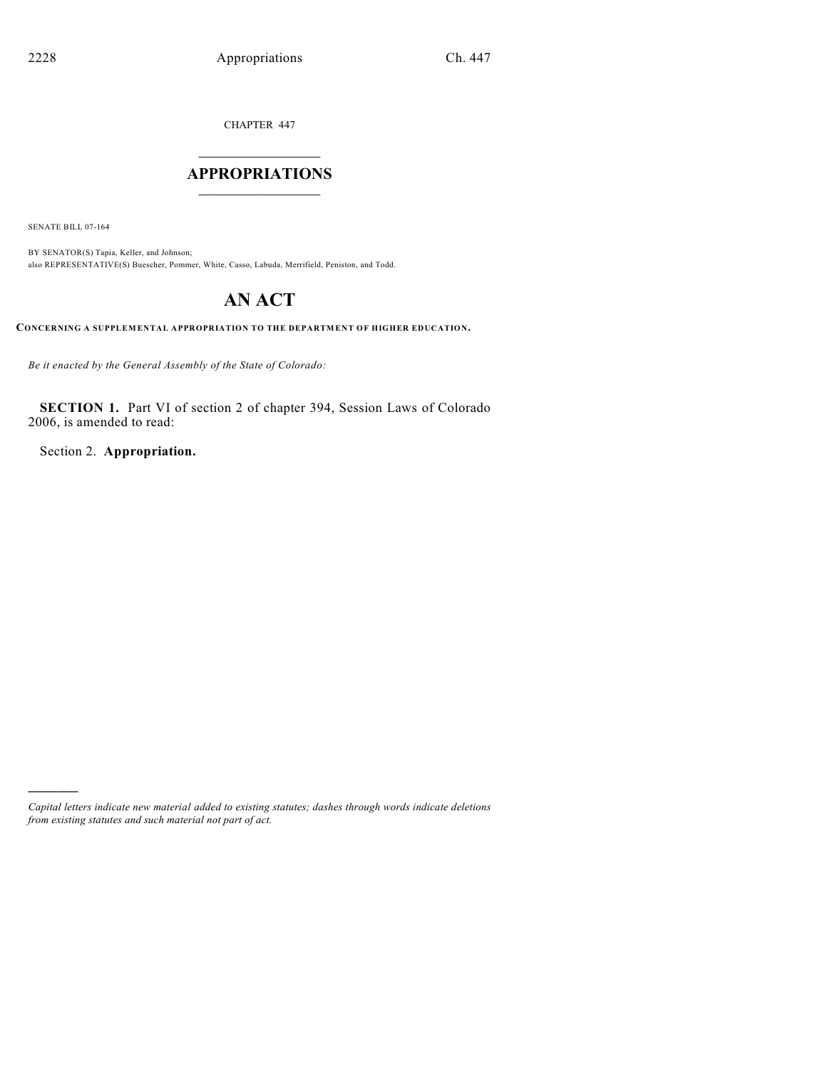CHAPTER 447

## $\mathcal{L}_\text{max}$  . The set of the set of the set of the set of the set of the set of the set of the set of the set of the set of the set of the set of the set of the set of the set of the set of the set of the set of the set **APPROPRIATIONS**  $\_$   $\_$   $\_$   $\_$   $\_$   $\_$   $\_$   $\_$

SENATE BILL 07-164

)))))

BY SENATOR(S) Tapia, Keller, and Johnson; also REPRESENTATIVE(S) Buescher, Pommer, White, Casso, Labuda, Merrifield, Peniston, and Todd.

# **AN ACT**

**CONCERNING A SUPPLEMENTAL APPROPRIATION TO THE DEPARTMENT OF HIGHER EDUCATION.**

*Be it enacted by the General Assembly of the State of Colorado:*

**SECTION 1.** Part VI of section 2 of chapter 394, Session Laws of Colorado 2006, is amended to read:

Section 2. **Appropriation.**

*Capital letters indicate new material added to existing statutes; dashes through words indicate deletions from existing statutes and such material not part of act.*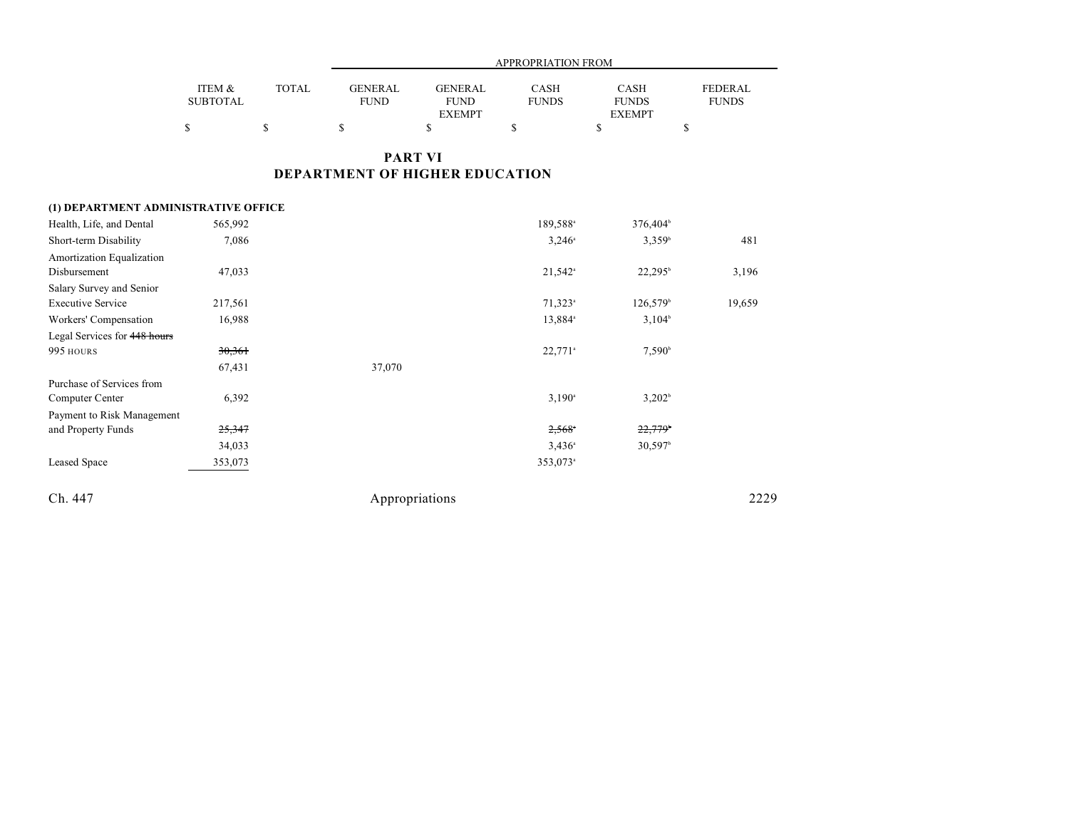|                 |        |                | APPROPRIATION FROM |              |               |              |  |
|-----------------|--------|----------------|--------------------|--------------|---------------|--------------|--|
| ITEM &          | TOTAL. | <b>GENERAL</b> | <b>GENERAL</b>     | CASH         | <b>CASH</b>   | FEDERAL      |  |
| <b>SUBTOTAL</b> |        | <b>FUND</b>    | <b>FUND</b>        | <b>FUNDS</b> | <b>FUNDS</b>  | <b>FUNDS</b> |  |
|                 |        |                | <b>EXEMPT</b>      |              | <b>EXEMPT</b> |              |  |
|                 |        |                |                    |              |               |              |  |

## **PART VI DEPARTMENT OF HIGHER EDUCATION**

## **(1) DEPARTMENT ADMINISTRATIVE OFFICE**

| Health, Life, and Dental     | 565,992           |                | 189,588 <sup>a</sup>  | 376,404 <sup>b</sup>  |        |
|------------------------------|-------------------|----------------|-----------------------|-----------------------|--------|
| Short-term Disability        | 7,086             |                | $3,246^{\circ}$       | 3,359 <sup>b</sup>    | 481    |
| Amortization Equalization    |                   |                |                       |                       |        |
| Disbursement                 | 47,033            |                | $21,542$ <sup>a</sup> | $22,295^{\rm b}$      | 3,196  |
| Salary Survey and Senior     |                   |                |                       |                       |        |
| <b>Executive Service</b>     | 217,561           |                | $71,323$ <sup>a</sup> | $126,579^{\circ}$     | 19,659 |
| Workers' Compensation        | 16,988            |                | 13,884 <sup>a</sup>   | $3,104^{\circ}$       |        |
| Legal Services for 448 hours |                   |                |                       |                       |        |
| 995 HOURS                    | 30,361            |                | $22,771$ <sup>a</sup> | $7,590^{\circ}$       |        |
|                              | 67,431            | 37,070         |                       |                       |        |
| Purchase of Services from    |                   |                |                       |                       |        |
| Computer Center              | 6,392             |                | $3,190^{\circ}$       | 3,202 <sup>b</sup>    |        |
| Payment to Risk Management   |                   |                |                       |                       |        |
| and Property Funds           | <del>25,347</del> |                | $2,568$ <sup>*</sup>  | $22,779$ <sup>6</sup> |        |
|                              | 34,033            |                | $3,436^{\circ}$       | $30,597$ <sup>b</sup> |        |
| Leased Space                 | 353,073           |                | 353,073 <sup>a</sup>  |                       |        |
| Ch. 447                      |                   | Appropriations |                       |                       | 2229   |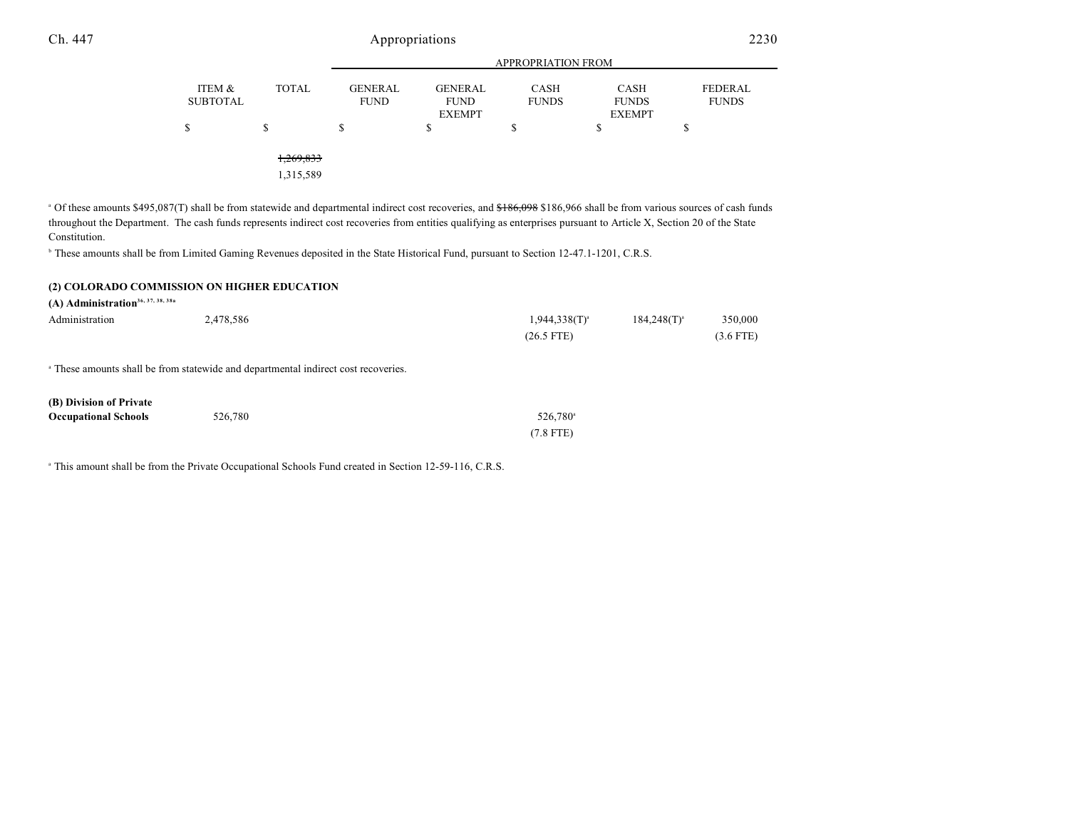|                           |                        | <b>APPROPRIATION FROM</b>     |                                                |                      |                                              |                         |  |
|---------------------------|------------------------|-------------------------------|------------------------------------------------|----------------------|----------------------------------------------|-------------------------|--|
| ITEM &<br><b>SUBTOTAL</b> | <b>TOTAL</b>           | <b>GENERAL</b><br><b>FUND</b> | <b>GENERAL</b><br><b>FUND</b><br><b>EXEMPT</b> | CASH<br><b>FUNDS</b> | <b>CASH</b><br><b>FUNDS</b><br><b>EXEMPT</b> | FEDERAL<br><b>FUNDS</b> |  |
| \$                        | \$                     | S                             | \$                                             | S                    | S                                            | \$                      |  |
|                           | 1,269,833<br>1,315,589 |                               |                                                |                      |                                              |                         |  |

<sup>a</sup> Of these amounts \$495,087(T) shall be from statewide and departmental indirect cost recoveries, and \$186,098 \$186,966 shall be from various sources of cash funds throughout the Department. The cash funds represents indirect cost recoveries from entities qualifying as enterprises pursuant to Article X, Section 20 of the State Constitution.

<sup>b</sup> These amounts shall be from Limited Gaming Revenues deposited in the State Historical Fund, pursuant to Section 12-47.1-1201, C.R.S.

#### **(2) COLORADO COMMISSION ON HIGHER EDUCATION**

**(A) Administration36, 37, 38, 38a** Administration 2,478,586 2,478,586 2,478,586 2,478 and 2,478,586 2,478 and 2,478 and 2,478 and 2,478,586 2,478 (26.5 FTE) (3.6 FTE)

<sup>a</sup> These amounts shall be from statewide and departmental indirect cost recoveries.

| (B) Division of Private     |         |                      |
|-----------------------------|---------|----------------------|
| <b>Occupational Schools</b> | 526,780 | 526.780 <sup>a</sup> |
|                             |         | $(7.8$ FTE)          |

<sup>a</sup> This amount shall be from the Private Occupational Schools Fund created in Section 12-59-116, C.R.S.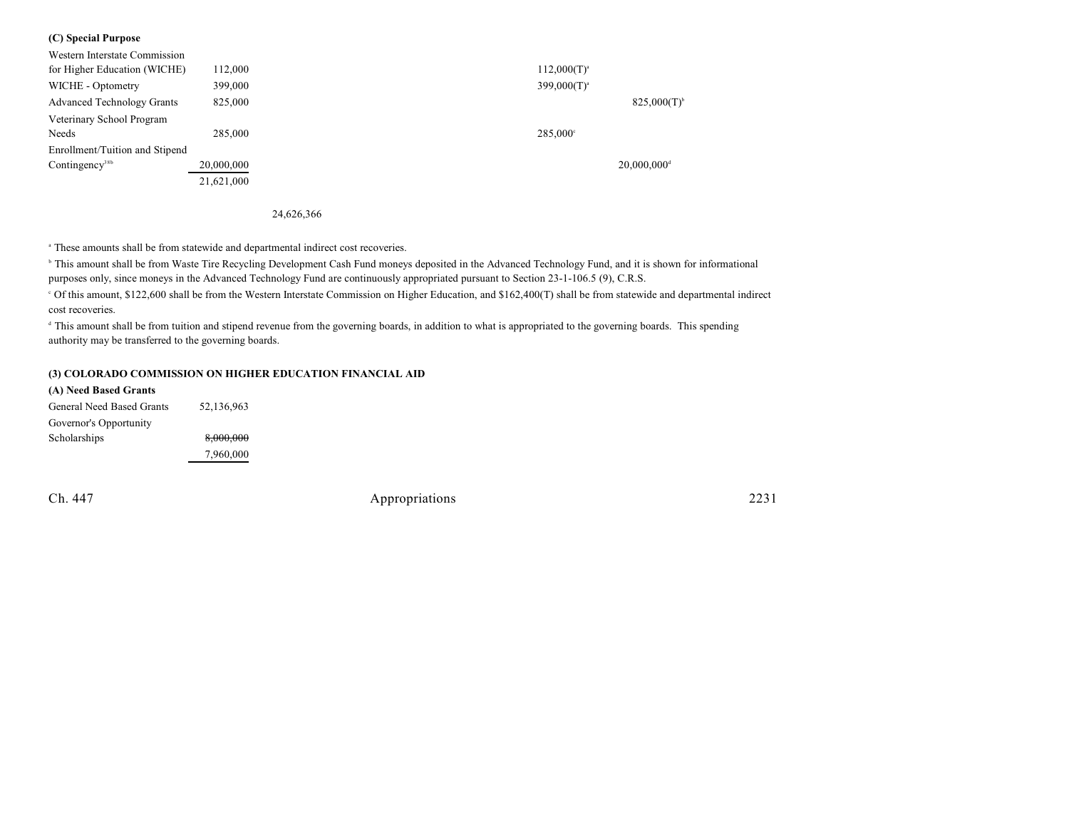### **(C) Special Purpose**

| Western Interstate Commission     |            |                  |                           |
|-----------------------------------|------------|------------------|---------------------------|
| for Higher Education (WICHE)      | 112,000    | $112,000(T)^{a}$ |                           |
| WICHE - Optometry                 | 399,000    | $399,000(T)^{a}$ |                           |
| <b>Advanced Technology Grants</b> | 825,000    |                  | $825,000(T)^{6}$          |
| Veterinary School Program         |            |                  |                           |
| Needs                             | 285,000    | 285,000°         |                           |
| Enrollment/Tuition and Stipend    |            |                  |                           |
| Contingency <sup>38b</sup>        | 20,000,000 |                  | $20.000.000$ <sup>d</sup> |
|                                   | 21,621,000 |                  |                           |

24,626,366

These amounts shall be from statewide and departmental indirect cost recoveries. <sup>a</sup>

<sup>b</sup> This amount shall be from Waste Tire Recycling Development Cash Fund moneys deposited in the Advanced Technology Fund, and it is shown for informational purposes only, since moneys in the Advanced Technology Fund are continuously appropriated pursuant to Section 23-1-106.5 (9), C.R.S.

 Of this amount, \$122,600 shall be from the Western Interstate Commission on Higher Education, and \$162,400(T) shall be from statewide and departmental indirect <sup>c</sup> cost recoveries.

<sup>d</sup> This amount shall be from tuition and stipend revenue from the governing boards, in addition to what is appropriated to the governing boards. This spending authority may be transferred to the governing boards.

#### **(3) COLORADO COMMISSION ON HIGHER EDUCATION FINANCIAL AID**

| (A) Need Based Grants     |            |
|---------------------------|------------|
| General Need Based Grants | 52,136,963 |
| Governor's Opportunity    |            |
| Scholarships              | 8,000,000  |
|                           | 7,960,000  |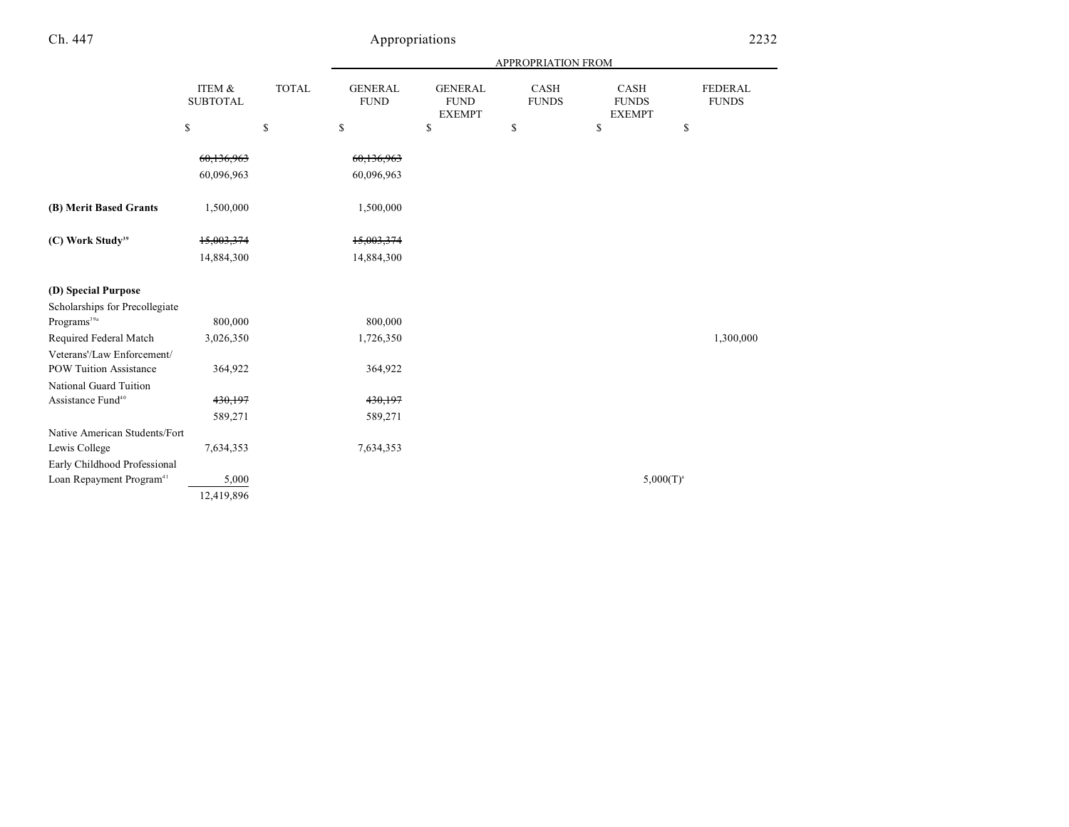|                                      |                           |              | APPROPRIATION FROM            |                                                |                      |                                       |                         |
|--------------------------------------|---------------------------|--------------|-------------------------------|------------------------------------------------|----------------------|---------------------------------------|-------------------------|
|                                      | ITEM &<br><b>SUBTOTAL</b> | <b>TOTAL</b> | <b>GENERAL</b><br><b>FUND</b> | <b>GENERAL</b><br><b>FUND</b><br><b>EXEMPT</b> | CASH<br><b>FUNDS</b> | CASH<br><b>FUNDS</b><br><b>EXEMPT</b> | FEDERAL<br><b>FUNDS</b> |
|                                      | \$                        | \$           | \$                            | \$                                             | \$                   | \$                                    | \$                      |
|                                      | 60,136,963                |              | 60,136,963                    |                                                |                      |                                       |                         |
|                                      | 60,096,963                |              | 60,096,963                    |                                                |                      |                                       |                         |
| (B) Merit Based Grants               | 1,500,000                 |              | 1,500,000                     |                                                |                      |                                       |                         |
| (C) Work Study <sup>39</sup>         | 15,003,374                |              | 15,003,374                    |                                                |                      |                                       |                         |
|                                      | 14,884,300                |              | 14,884,300                    |                                                |                      |                                       |                         |
| (D) Special Purpose                  |                           |              |                               |                                                |                      |                                       |                         |
| Scholarships for Precollegiate       |                           |              |                               |                                                |                      |                                       |                         |
| Programs <sup>39a</sup>              | 800,000                   |              | 800,000                       |                                                |                      |                                       |                         |
| Required Federal Match               | 3,026,350                 |              | 1,726,350                     |                                                |                      |                                       | 1,300,000               |
| Veterans'/Law Enforcement/           |                           |              |                               |                                                |                      |                                       |                         |
| <b>POW Tuition Assistance</b>        | 364,922                   |              | 364,922                       |                                                |                      |                                       |                         |
| National Guard Tuition               |                           |              |                               |                                                |                      |                                       |                         |
| Assistance Fund <sup>40</sup>        | 430,197                   |              | 430,197                       |                                                |                      |                                       |                         |
|                                      | 589,271                   |              | 589,271                       |                                                |                      |                                       |                         |
| Native American Students/Fort        |                           |              |                               |                                                |                      |                                       |                         |
| Lewis College                        | 7,634,353                 |              | 7,634,353                     |                                                |                      |                                       |                         |
| Early Childhood Professional         |                           |              |                               |                                                |                      |                                       |                         |
| Loan Repayment Program <sup>41</sup> | 5,000                     |              |                               |                                                |                      | $5,000(T)^a$                          |                         |
|                                      | 12,419,896                |              |                               |                                                |                      |                                       |                         |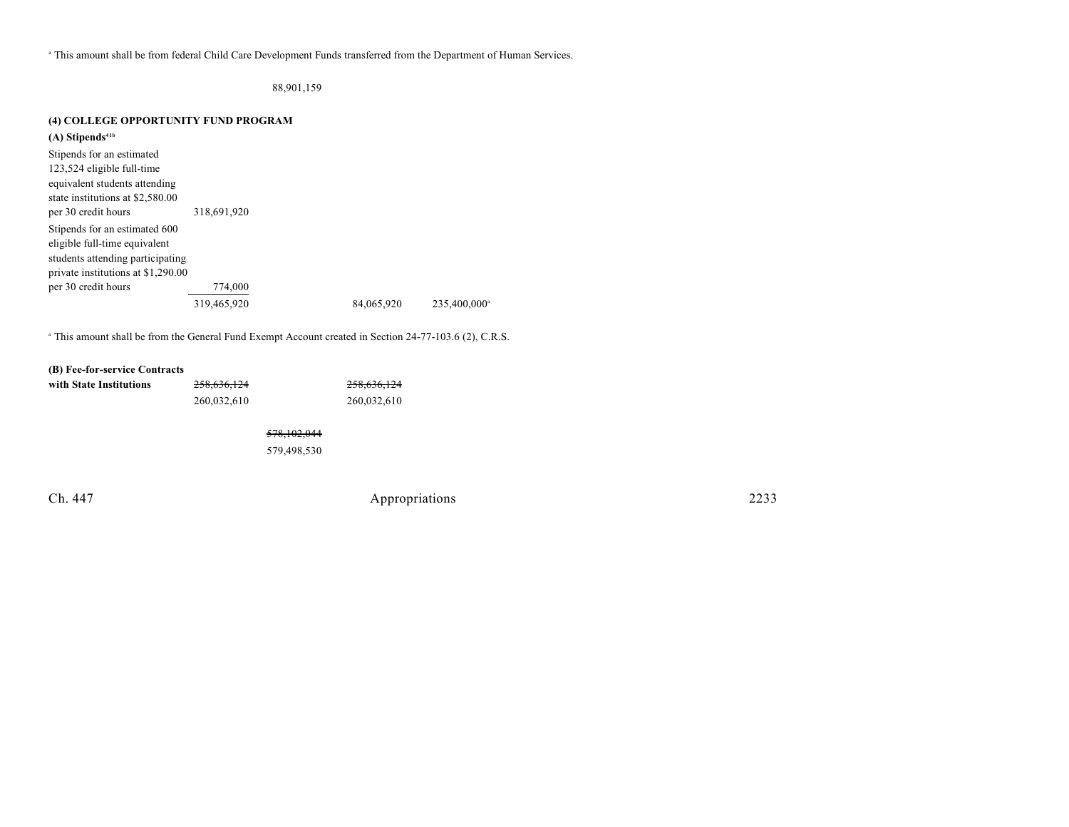This amount shall be from federal Child Care Development Funds transferred from the Department of Human Services. <sup>a</sup>

88,901,159

### **(4) COLLEGE OPPORTUNITY FUND PROGRAM**

| $(A)$ Stipends <sup>41b</sup>      |             |            |                          |
|------------------------------------|-------------|------------|--------------------------|
| Stipends for an estimated          |             |            |                          |
| 123,524 eligible full-time         |             |            |                          |
| equivalent students attending      |             |            |                          |
| state institutions at \$2,580.00   |             |            |                          |
| per 30 credit hours                | 318,691,920 |            |                          |
| Stipends for an estimated 600      |             |            |                          |
| eligible full-time equivalent      |             |            |                          |
| students attending participating   |             |            |                          |
| private institutions at \$1,290.00 |             |            |                          |
| per 30 credit hours                | 774,000     |            |                          |
|                                    | 319,465,920 | 84.065.920 | 235.400.000 <sup>a</sup> |

<sup>a</sup> This amount shall be from the General Fund Exempt Account created in Section 24-77-103.6 (2), C.R.S.

#### **(B) Fee-for-service Contracts**

| with State Institutions | 258,636,124 |               | 258,636,124 |
|-------------------------|-------------|---------------|-------------|
|                         | 260,032,610 |               | 260,032,610 |
|                         |             | 578, 102, 044 |             |
|                         |             | 579.498.530   |             |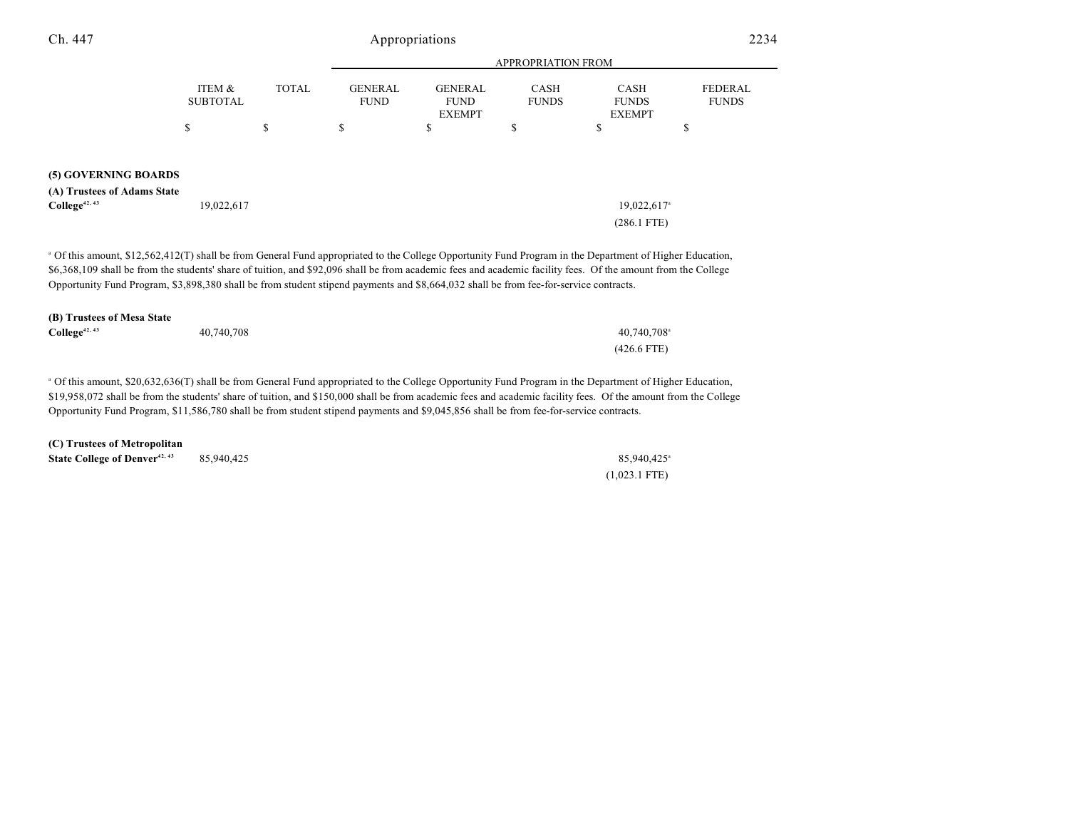| Ch. 447                     | Appropriations            |              |                               |                                                |                             | 2234                                         |                                |
|-----------------------------|---------------------------|--------------|-------------------------------|------------------------------------------------|-----------------------------|----------------------------------------------|--------------------------------|
|                             |                           |              |                               | APPROPRIATION FROM                             |                             |                                              |                                |
|                             | ITEM &<br><b>SUBTOTAL</b> | <b>TOTAL</b> | <b>GENERAL</b><br><b>FUND</b> | <b>GENERAL</b><br><b>FUND</b><br><b>EXEMPT</b> | <b>CASH</b><br><b>FUNDS</b> | <b>CASH</b><br><b>FUNDS</b><br><b>EXEMPT</b> | <b>FEDERAL</b><br><b>FUNDS</b> |
|                             | \$                        | \$           | \$                            | P                                              | \$                          | \$                                           | \$                             |
| (5) GOVERNING BOARDS        |                           |              |                               |                                                |                             |                                              |                                |
| (A) Trustees of Adams State |                           |              |                               |                                                |                             |                                              |                                |
| College <sup>42, 43</sup>   | 19,022,617                |              |                               |                                                |                             | 19,022,617 <sup>a</sup><br>$(286.1$ FTE)     |                                |

 Of this amount, \$12,562,412(T) shall be from General Fund appropriated to the College Opportunity Fund Program in the Department of Higher Education, <sup>a</sup> \$6,368,109 shall be from the students' share of tuition, and \$92,096 shall be from academic fees and academic facility fees. Of the amount from the College Opportunity Fund Program, \$3,898,380 shall be from student stipend payments and \$8,664,032 shall be from fee-for-service contracts.

| (B) Trustees of Mesa State |            |                         |  |  |
|----------------------------|------------|-------------------------|--|--|
| $\text{Collect}^{42, 43}$  | 40,740,708 | 40,740,708 <sup>a</sup> |  |  |
|                            |            | $(426.6$ FTE)           |  |  |

 Of this amount, \$20,632,636(T) shall be from General Fund appropriated to the College Opportunity Fund Program in the Department of Higher Education, <sup>a</sup> \$19,958,072 shall be from the students' share of tuition, and \$150,000 shall be from academic fees and academic facility fees. Of the amount from the College Opportunity Fund Program, \$11,586,780 shall be from student stipend payments and \$9,045,856 shall be from fee-for-service contracts.

| (C) Trustees of Metropolitan              |            |                         |
|-------------------------------------------|------------|-------------------------|
| State College of Denver <sup>42, 43</sup> | 85.940.425 | 85.940.425 <sup>a</sup> |
|                                           |            | $(1,023.1$ FTE)         |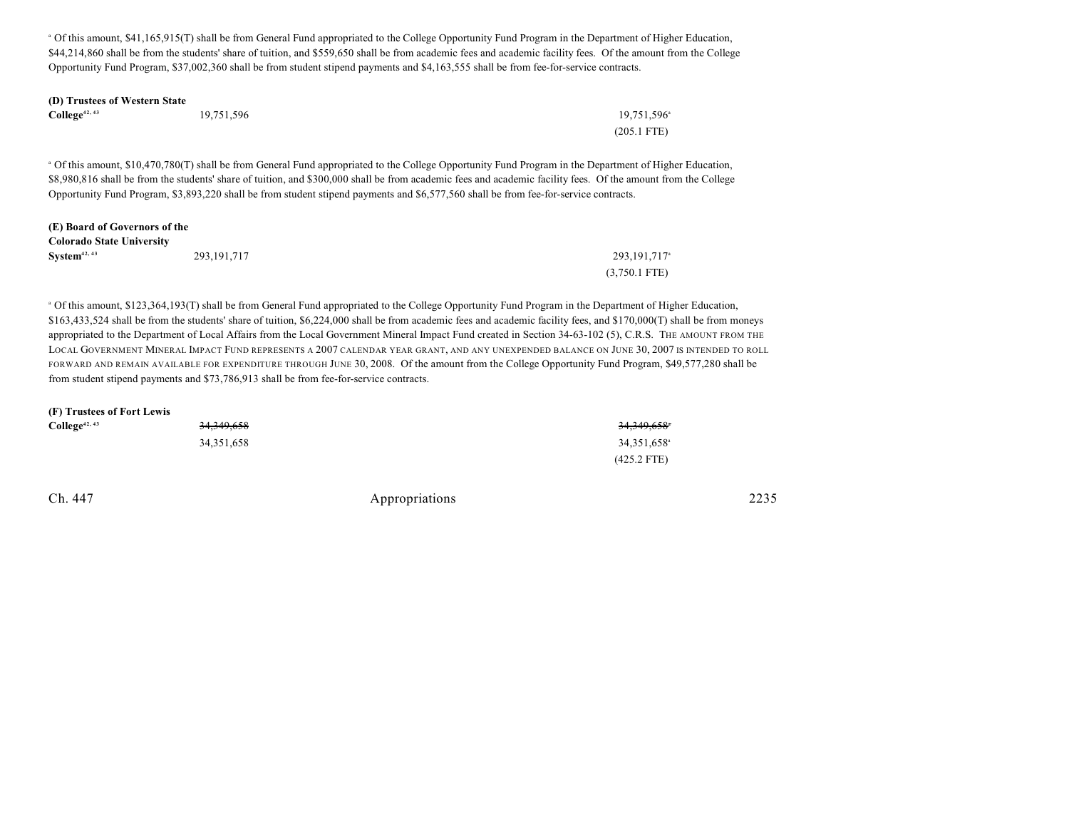Of this amount, \$41,165,915(T) shall be from General Fund appropriated to the College Opportunity Fund Program in the Department of Higher Education, <sup>a</sup> \$44,214,860 shall be from the students' share of tuition, and \$559,650 shall be from academic fees and academic facility fees. Of the amount from the College Opportunity Fund Program, \$37,002,360 shall be from student stipend payments and \$4,163,555 shall be from fee-for-service contracts.

| (D) Trustees of Western State |            |                         |
|-------------------------------|------------|-------------------------|
| $\text{Collect}^{42, 43}$     | 19.751.596 | 19.751.596 <sup>a</sup> |
|                               |            | $(205.1 \text{ FTE})$   |

 Of this amount, \$10,470,780(T) shall be from General Fund appropriated to the College Opportunity Fund Program in the Department of Higher Education, <sup>a</sup> \$8,980,816 shall be from the students' share of tuition, and \$300,000 shall be from academic fees and academic facility fees. Of the amount from the College Opportunity Fund Program, \$3,893,220 shall be from student stipend payments and \$6,577,560 shall be from fee-for-service contracts.

### **(E) Board of Governors of the Colorado State University System<sup>42, 43</sup>** 293,191,717 293,191,717 293,191,717 203,191,717 (3,750.1 FTE)

 Of this amount, \$123,364,193(T) shall be from General Fund appropriated to the College Opportunity Fund Program in the Department of Higher Education, <sup>a</sup> \$163,433,524 shall be from the students' share of tuition, \$6,224,000 shall be from academic fees and academic facility fees, and \$170,000(T) shall be from moneys appropriated to the Department of Local Affairs from the Local Government Mineral Impact Fund created in Section 34-63-102 (5), C.R.S. THE AMOUNT FROM THE LOCAL GOVERNMENT MINERAL IMPACT FUND REPRESENTS A 2007 CALENDAR YEAR GRANT, AND ANY UNEXPENDED BALANCE ON JUNE 30, 2007 IS INTENDED TO ROLL FORWARD AND REMAIN AVAILABLE FOR EXPENDITURE THROUGH JUNE 30, 2008. Of the amount from the College Opportunity Fund Program, \$49,577,280 shall be from student stipend payments and \$73,786,913 shall be from fee-for-service contracts.

| (F) Trustees of Fort Lewis |              |                         |
|----------------------------|--------------|-------------------------|
| $\text{College}^{42,43}$   | 34, 349, 658 | 34,349,658°             |
|                            | 34, 351, 658 | 34,351,658 <sup>a</sup> |
|                            |              | $(425.2$ FTE)           |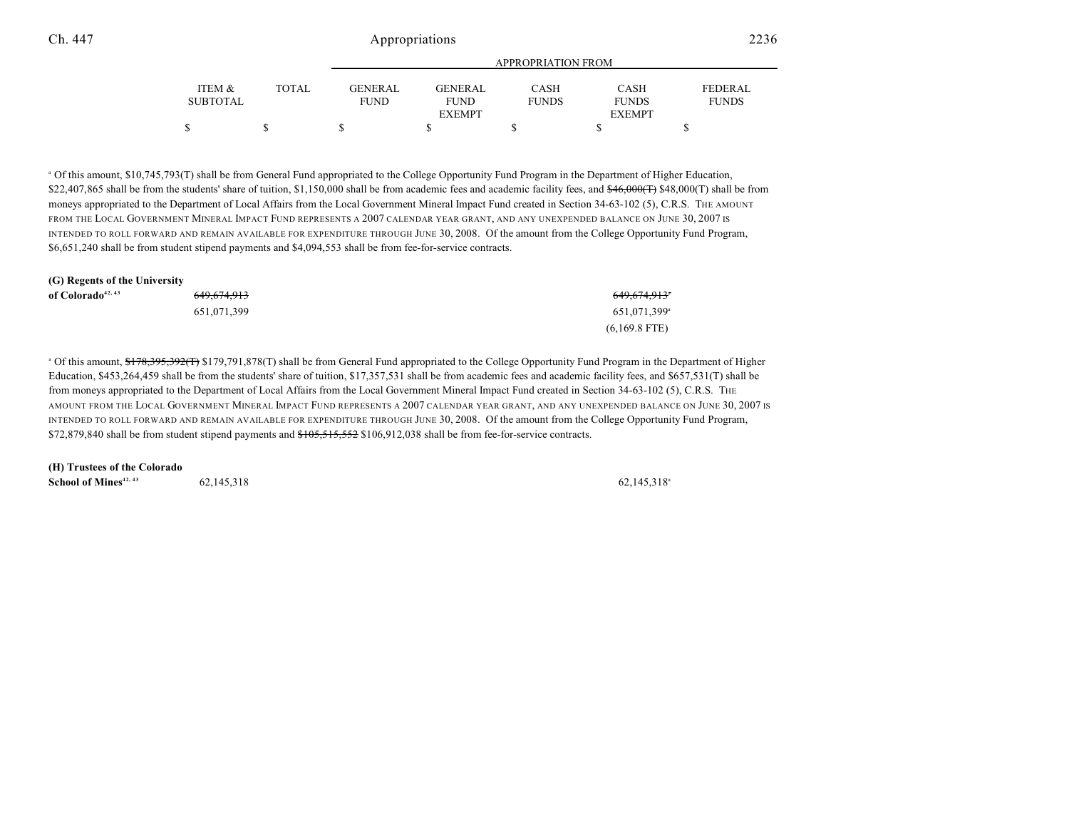|                 |       |             |                | APPROPRIATION FROM |               |                |
|-----------------|-------|-------------|----------------|--------------------|---------------|----------------|
| ITEM &          | TOTAL | GENERAL     | <b>GENERAL</b> | CASH               | <b>CASH</b>   | <b>FEDERAL</b> |
| <b>SUBTOTAL</b> |       | <b>FUND</b> | <b>FUND</b>    | <b>FUNDS</b>       | <b>FUNDS</b>  | <b>FUNDS</b>   |
|                 |       |             | <b>EXEMPT</b>  |                    | <b>EXEMPT</b> |                |
|                 |       |             |                |                    |               |                |

 Of this amount, \$10,745,793(T) shall be from General Fund appropriated to the College Opportunity Fund Program in the Department of Higher Education, <sup>a</sup> \$22,407,865 shall be from the students' share of tuition, \$1,150,000 shall be from academic fees and academic facility fees, and \$46,000(T) \$48,000(T) shall be from moneys appropriated to the Department of Local Affairs from the Local Government Mineral Impact Fund created in Section 34-63-102 (5), C.R.S. THE AMOUNT FROM THE LOCAL GOVERNMENT MINERAL IMPACT FUND REPRESENTS A 2007 CALENDAR YEAR GRANT, AND ANY UNEXPENDED BALANCE ON JUNE 30, 2007 IS INTENDED TO ROLL FORWARD AND REMAIN AVAILABLE FOR EXPENDITURE THROUGH JUNE 30, 2008. Of the amount from the College Opportunity Fund Program, \$6,651,240 shall be from student stipend payments and \$4,094,553 shall be from fee-for-service contracts.

| (G) Regents of the University |                        |                          |
|-------------------------------|------------------------|--------------------------|
| of Colorado <sup>42, 43</sup> | <del>649.674.913</del> | <del>649,674,913</del> * |
|                               | 651.071.399            | 651.071.399 <sup>a</sup> |
|                               |                        | $(6,169.8$ FTE)          |

<sup>a</sup> Of this amount, \$178,395,392(T) \$179,791,878(T) shall be from General Fund appropriated to the College Opportunity Fund Program in the Department of Higher Education, \$453,264,459 shall be from the students' share of tuition, \$17,357,531 shall be from academic fees and academic facility fees, and \$657,531(T) shall be from moneys appropriated to the Department of Local Affairs from the Local Government Mineral Impact Fund created in Section 34-63-102 (5), C.R.S. THE AMOUNT FROM THE LOCAL GOVERNMENT MINERAL IMPACT FUND REPRESENTS A 2007 CALENDAR YEAR GRANT, AND ANY UNEXPENDED BALANCE ON JUNE 30, 2007 IS INTENDED TO ROLL FORWARD AND REMAIN AVAILABLE FOR EXPENDITURE THROUGH JUNE 30, 2008. Of the amount from the College Opportunity Fund Program, \$72,879,840 shall be from student stipend payments and \$105,515,552 \$106,912,038 shall be from fee-for-service contracts.

**(H) Trustees of the Colorado School of Mines**<sup>42, 43</sup> 62,145,318 62,145,318 62,145,318 62,145,318 62,145,318 62,145,318 62,145,318 62,145,318 62,145,318 62,145,318 62,145,318 62,145,318 62,145,318 62,145,318 62,145,318 62,145,318 62,145,318 62,145,3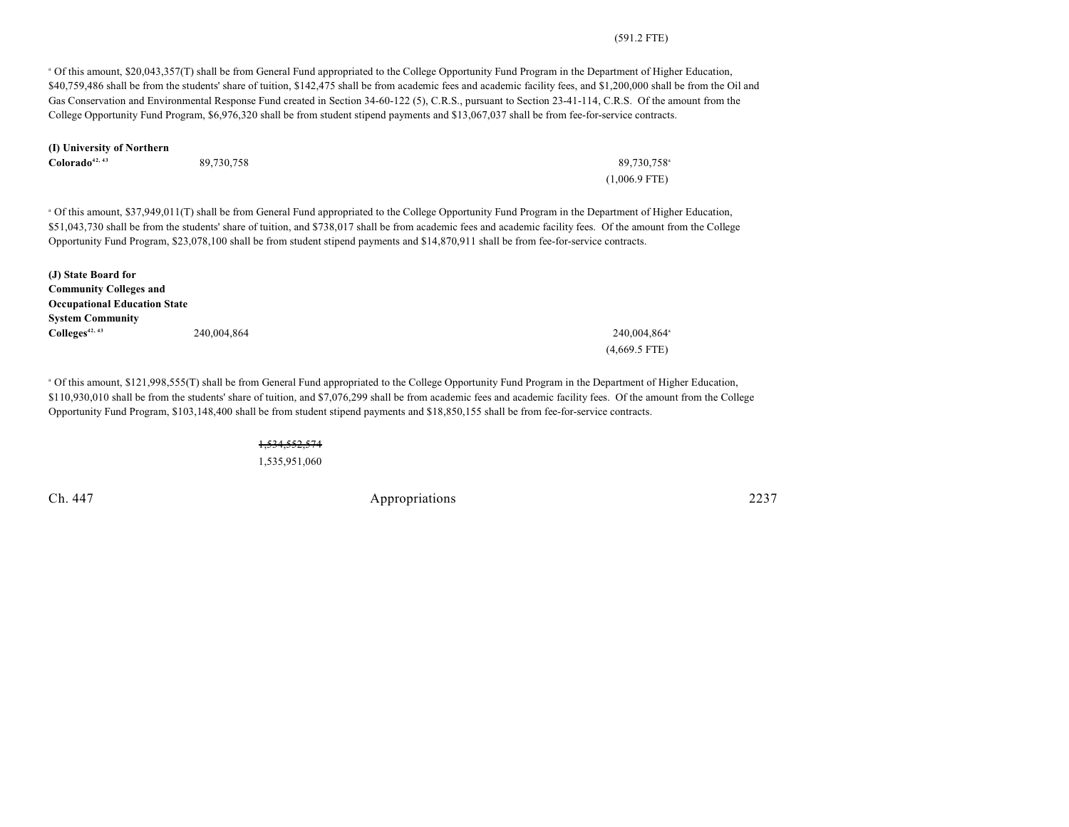#### (591.2 FTE)

 Of this amount, \$20,043,357(T) shall be from General Fund appropriated to the College Opportunity Fund Program in the Department of Higher Education, <sup>a</sup> \$40,759,486 shall be from the students' share of tuition, \$142,475 shall be from academic fees and academic facility fees, and \$1,200,000 shall be from the Oil and Gas Conservation and Environmental Response Fund created in Section 34-60-122 (5), C.R.S., pursuant to Section 23-41-114, C.R.S. Of the amount from the College Opportunity Fund Program, \$6,976,320 shall be from student stipend payments and \$13,067,037 shall be from fee-for-service contracts.

| (I) University of Northern |            |                         |  |  |
|----------------------------|------------|-------------------------|--|--|
| Colorado <sup>42, 43</sup> | 89.730.758 | 89,730,758 <sup>a</sup> |  |  |
|                            |            | $(1,006.9$ FTE)         |  |  |

 Of this amount, \$37,949,011(T) shall be from General Fund appropriated to the College Opportunity Fund Program in the Department of Higher Education, <sup>a</sup> \$51,043,730 shall be from the students' share of tuition, and \$738,017 shall be from academic fees and academic facility fees. Of the amount from the College Opportunity Fund Program, \$23,078,100 shall be from student stipend payments and \$14,870,911 shall be from fee-for-service contracts.

| (J) State Board for                 |             |                          |
|-------------------------------------|-------------|--------------------------|
| <b>Community Colleges and</b>       |             |                          |
| <b>Occupational Education State</b> |             |                          |
| <b>System Community</b>             |             |                          |
| $\text{Colleges}^{42, 43}$          | 240,004,864 | 240,004,864 <sup>a</sup> |
|                                     |             | $(4,669.5$ FTE)          |

 Of this amount, \$121,998,555(T) shall be from General Fund appropriated to the College Opportunity Fund Program in the Department of Higher Education, <sup>a</sup> \$110,930,010 shall be from the students' share of tuition, and \$7,076,299 shall be from academic fees and academic facility fees. Of the amount from the College Opportunity Fund Program, \$103,148,400 shall be from student stipend payments and \$18,850,155 shall be from fee-for-service contracts.

> 1,534,552,574 1,535,951,060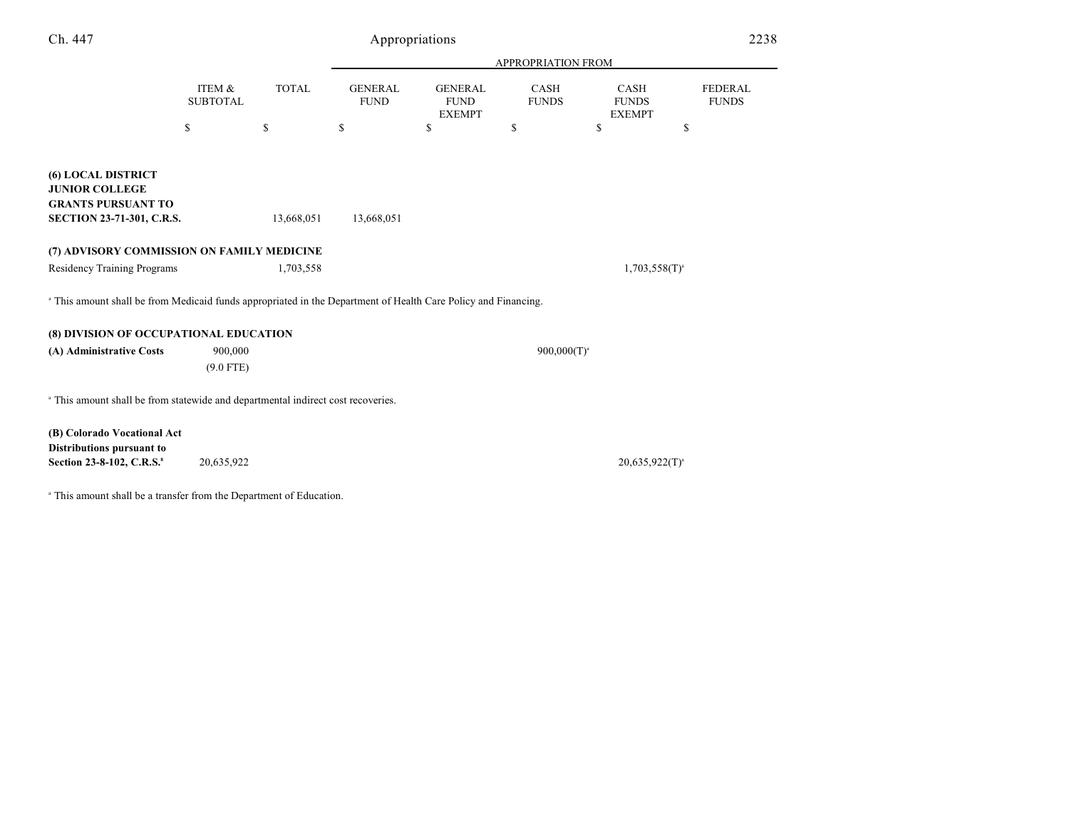| Ch. 447                                                                                                                   |                           |              | Appropriations                |                                                |                      |                                       | 2238                           |
|---------------------------------------------------------------------------------------------------------------------------|---------------------------|--------------|-------------------------------|------------------------------------------------|----------------------|---------------------------------------|--------------------------------|
|                                                                                                                           |                           |              |                               |                                                | APPROPRIATION FROM   |                                       |                                |
|                                                                                                                           | ITEM &<br><b>SUBTOTAL</b> | <b>TOTAL</b> | <b>GENERAL</b><br><b>FUND</b> | <b>GENERAL</b><br><b>FUND</b><br><b>EXEMPT</b> | CASH<br><b>FUNDS</b> | CASH<br><b>FUNDS</b><br><b>EXEMPT</b> | <b>FEDERAL</b><br><b>FUNDS</b> |
|                                                                                                                           | \$                        | \$           | \$                            | \$                                             | \$                   | \$<br>\$                              |                                |
| <b>(6) LOCAL DISTRICT</b><br><b>JUNIOR COLLEGE</b><br><b>GRANTS PURSUANT TO</b><br><b>SECTION 23-71-301, C.R.S.</b>       |                           | 13,668,051   | 13,668,051                    |                                                |                      |                                       |                                |
| (7) ADVISORY COMMISSION ON FAMILY MEDICINE                                                                                |                           |              |                               |                                                |                      |                                       |                                |
| <b>Residency Training Programs</b>                                                                                        |                           | 1,703,558    |                               |                                                |                      | $1,703,558(T)^{a}$                    |                                |
| <sup>a</sup> This amount shall be from Medicaid funds appropriated in the Department of Health Care Policy and Financing. |                           |              |                               |                                                |                      |                                       |                                |
| (8) DIVISION OF OCCUPATIONAL EDUCATION                                                                                    |                           |              |                               |                                                |                      |                                       |                                |
| (A) Administrative Costs                                                                                                  | 900,000<br>$(9.0$ FTE)    |              |                               |                                                | $900,000(T)^{a}$     |                                       |                                |
| <sup>a</sup> This amount shall be from statewide and departmental indirect cost recoveries.                               |                           |              |                               |                                                |                      |                                       |                                |
| (B) Colorado Vocational Act<br>Distributions pursuant to                                                                  |                           |              |                               |                                                |                      |                                       |                                |
| Section 23-8-102, C.R.S. <sup>8</sup>                                                                                     | 20,635,922                |              |                               |                                                |                      | $20,635,922(T)^{a}$                   |                                |

 $^{\circ}$  This amount shall be a transfer from the Department of Education.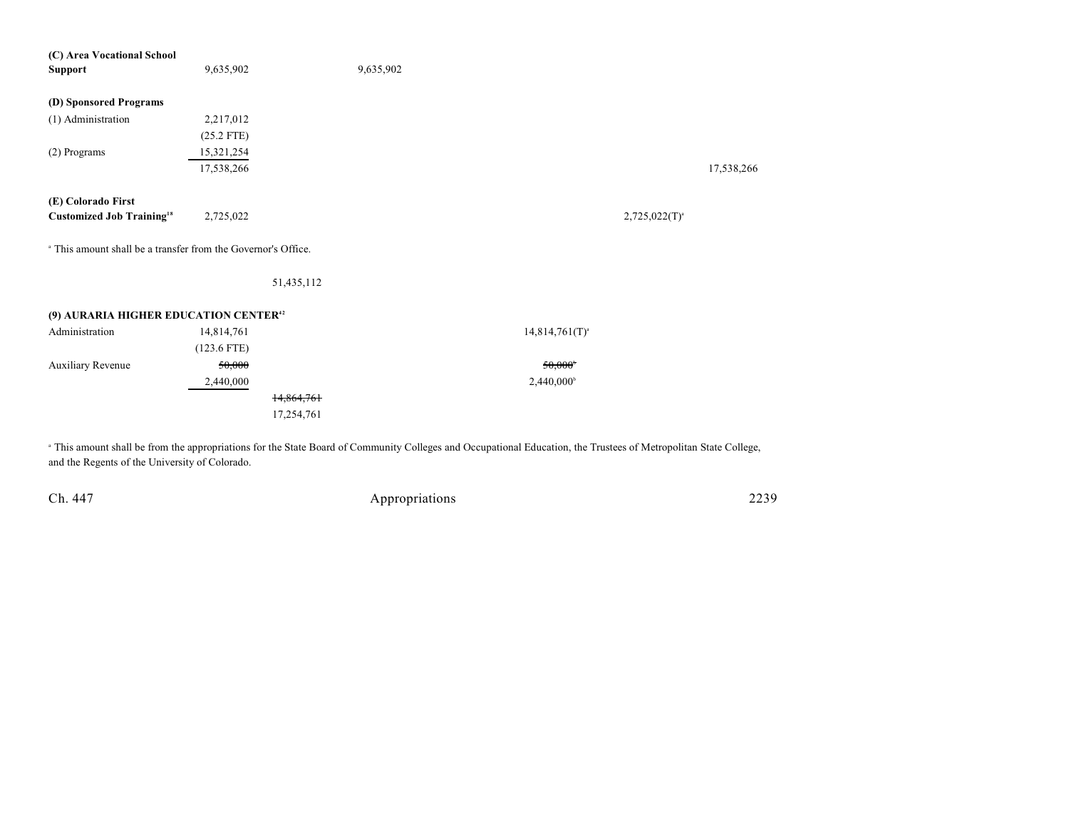| (C) Area Vocational School                                               |               |            |                     |                     |            |
|--------------------------------------------------------------------------|---------------|------------|---------------------|---------------------|------------|
| <b>Support</b>                                                           | 9,635,902     |            | 9,635,902           |                     |            |
|                                                                          |               |            |                     |                     |            |
| (D) Sponsored Programs                                                   |               |            |                     |                     |            |
| (1) Administration                                                       | 2,217,012     |            |                     |                     |            |
|                                                                          | $(25.2$ FTE)  |            |                     |                     |            |
| (2) Programs                                                             | 15,321,254    |            |                     |                     |            |
|                                                                          | 17,538,266    |            |                     |                     | 17,538,266 |
|                                                                          |               |            |                     |                     |            |
| (E) Colorado First                                                       |               |            |                     |                     |            |
| <b>Customized Job Training</b> <sup>18</sup>                             | 2,725,022     |            |                     | $2,725,022(T)^{a}$  |            |
|                                                                          |               |            |                     |                     |            |
| <sup>a</sup> This amount shall be a transfer from the Governor's Office. |               |            |                     |                     |            |
|                                                                          |               |            |                     |                     |            |
|                                                                          |               | 51,435,112 |                     |                     |            |
|                                                                          |               |            |                     |                     |            |
| (9) AURARIA HIGHER EDUCATION CENTER <sup>42</sup>                        |               |            |                     |                     |            |
| Administration                                                           | 14,814,761    |            |                     | $14,814,761(T)^{a}$ |            |
|                                                                          | $(123.6$ FTE) |            |                     |                     |            |
| Auxiliary Revenue                                                        | 50,000        |            |                     | 50,000              |            |
|                                                                          | 2,440,000     |            | $2,440,000^{\circ}$ |                     |            |
|                                                                          |               | 14,864,761 |                     |                     |            |
|                                                                          |               | 17,254,761 |                     |                     |            |
|                                                                          |               |            |                     |                     |            |
|                                                                          |               |            |                     |                     |            |

 This amount shall be from the appropriations for the State Board of Community Colleges and Occupational Education, the Trustees of Metropolitan State College, <sup>a</sup> and the Regents of the University of Colorado.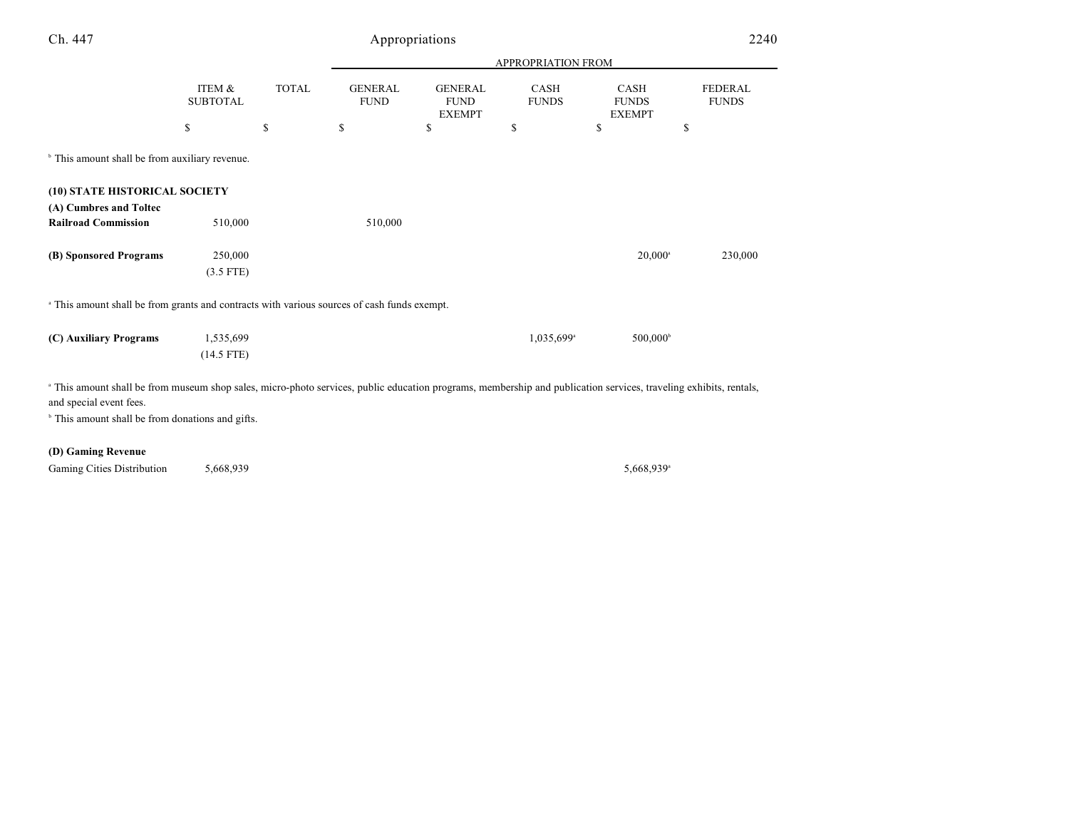| Ch. 447                                                                                                                                                                                                 |                           |              |                               | Appropriations                                 |                        |                                       | 2240                    |
|---------------------------------------------------------------------------------------------------------------------------------------------------------------------------------------------------------|---------------------------|--------------|-------------------------------|------------------------------------------------|------------------------|---------------------------------------|-------------------------|
|                                                                                                                                                                                                         |                           |              |                               |                                                |                        |                                       |                         |
|                                                                                                                                                                                                         | ITEM &<br><b>SUBTOTAL</b> | <b>TOTAL</b> | <b>GENERAL</b><br><b>FUND</b> | <b>GENERAL</b><br><b>FUND</b><br><b>EXEMPT</b> | CASH<br><b>FUNDS</b>   | CASH<br><b>FUNDS</b><br><b>EXEMPT</b> | FEDERAL<br><b>FUNDS</b> |
|                                                                                                                                                                                                         | \$                        | \$           | \$                            | \$                                             | \$                     | \$                                    | \$                      |
| <sup>b</sup> This amount shall be from auxiliary revenue.                                                                                                                                               |                           |              |                               |                                                |                        |                                       |                         |
| (10) STATE HISTORICAL SOCIETY                                                                                                                                                                           |                           |              |                               |                                                |                        |                                       |                         |
| (A) Cumbres and Toltec<br><b>Railroad Commission</b>                                                                                                                                                    | 510,000                   |              | 510,000                       |                                                |                        |                                       |                         |
| (B) Sponsored Programs                                                                                                                                                                                  | 250,000                   |              |                               |                                                |                        | $20,000^{\circ}$                      | 230,000                 |
|                                                                                                                                                                                                         | $(3.5$ FTE)               |              |                               |                                                |                        |                                       |                         |
| <sup>a</sup> This amount shall be from grants and contracts with various sources of cash funds exempt.                                                                                                  |                           |              |                               |                                                |                        |                                       |                         |
| (C) Auxiliary Programs                                                                                                                                                                                  | 1,535,699                 |              |                               |                                                | 1,035,699 <sup>a</sup> | $500,000^{\circ}$                     |                         |
|                                                                                                                                                                                                         | $(14.5$ FTE)              |              |                               |                                                |                        |                                       |                         |
| <sup>a</sup> This amount shall be from museum shop sales, micro-photo services, public education programs, membership and publication services, traveling exhibits, rentals,<br>and special event fees. |                           |              |                               |                                                |                        |                                       |                         |
| <sup>b</sup> This amount shall be from donations and gifts.                                                                                                                                             |                           |              |                               |                                                |                        |                                       |                         |
| (D) Gaming Revenue                                                                                                                                                                                      |                           |              |                               |                                                |                        |                                       |                         |

Gaming Cities Distribution  $5,668,939$  5,668,939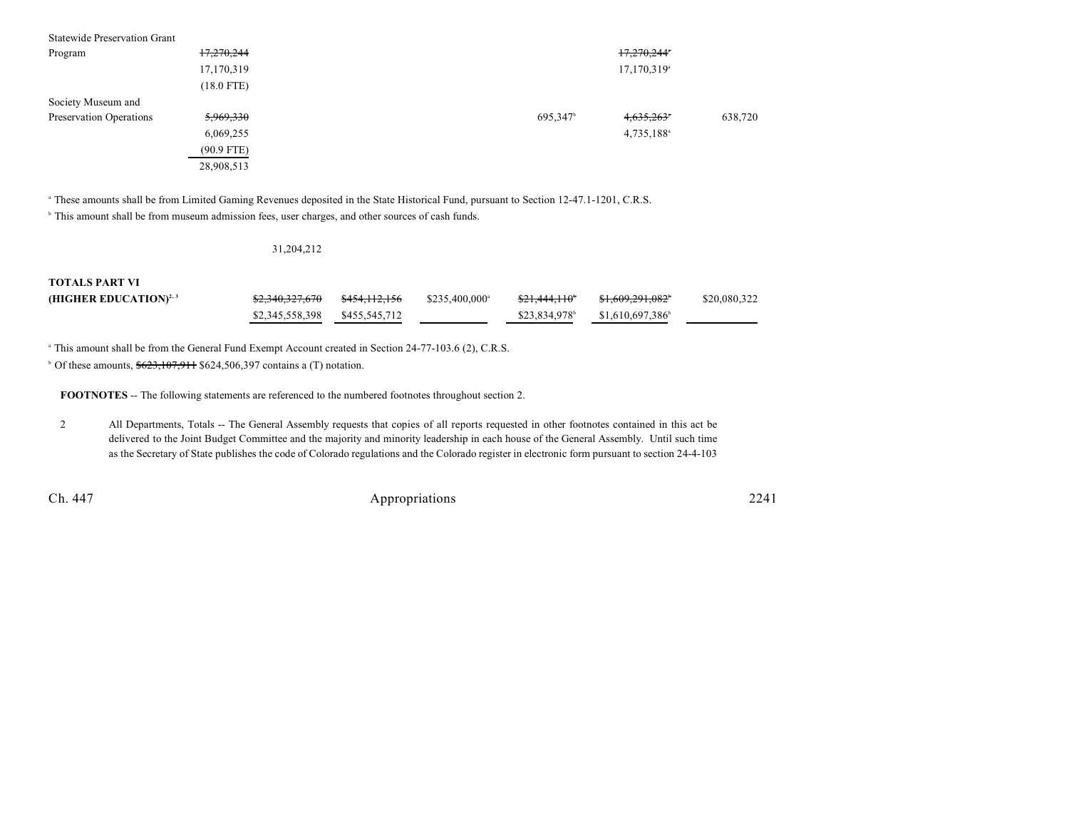| <b>Statewide Preservation Grant</b> |              |                      |                          |         |
|-------------------------------------|--------------|----------------------|--------------------------|---------|
| Program                             | 17,270,244   |                      | 17,270,244*              |         |
|                                     | 17,170,319   |                      | 17,170,319 <sup>a</sup>  |         |
|                                     | $(18.0$ FTE) |                      |                          |         |
| Society Museum and                  |              |                      |                          |         |
| Preservation Operations             | 5,969,330    | 695,347 <sup>b</sup> | $4,635,263$ <sup>*</sup> | 638,720 |
|                                     | 6,069,255    |                      | 4,735,188 <sup>a</sup>   |         |
|                                     | $(90.9$ FTE) |                      |                          |         |
|                                     | 28,908,513   |                      |                          |         |

<sup>a</sup> These amounts shall be from Limited Gaming Revenues deposited in the State Historical Fund, pursuant to Section 12-47.1-1201, C.R.S.

<sup>b</sup> This amount shall be from museum admission fees, user charges, and other sources of cash funds.

#### 31,204,212

### **TOTALS PART VI**

| (HIGHER EDUCATION) <sup>2, 3</sup> |                               | $$235,400,000^{\circ}$ | <del>\$21,444,110</del> * | <del>\$1,609,291,082</del> * | \$20,080,322 |
|------------------------------------|-------------------------------|------------------------|---------------------------|------------------------------|--------------|
|                                    | \$2,345,558,398 \$455,545,712 |                        | \$23,834,978              | \$1,610,697,386              |              |

<sup>a</sup> This amount shall be from the General Fund Exempt Account created in Section 24-77-103.6 (2), C.R.S.

 $\degree$  Of these amounts,  $$623,107,911$  \$624,506,397 contains a (T) notation.

**FOOTNOTES** -- The following statements are referenced to the numbered footnotes throughout section 2.

2 All Departments, Totals -- The General Assembly requests that copies of all reports requested in other footnotes contained in this act be delivered to the Joint Budget Committee and the majority and minority leadership in each house of the General Assembly. Until such time as the Secretary of State publishes the code of Colorado regulations and the Colorado register in electronic form pursuant to section 24-4-103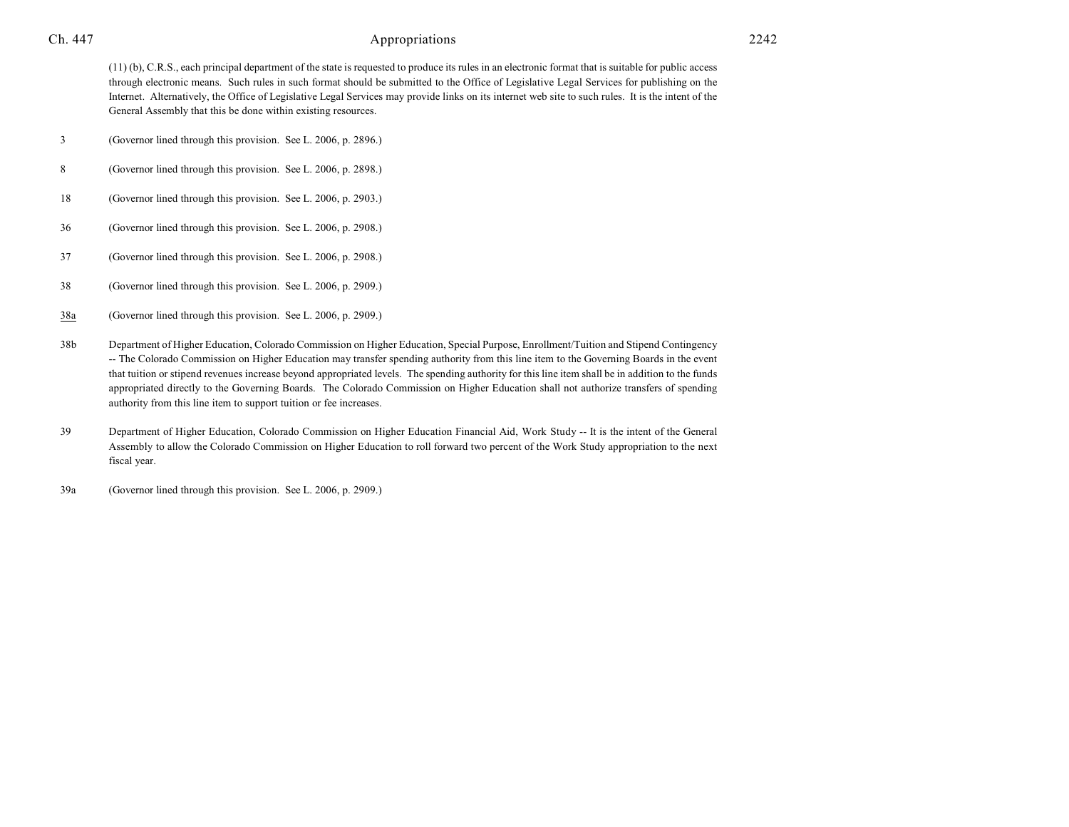(11) (b), C.R.S., each principal department of the state is requested to produce its rules in an electronic format that is suitable for public access through electronic means. Such rules in such format should be submitted to the Office of Legislative Legal Services for publishing on the Internet. Alternatively, the Office of Legislative Legal Services may provide links on its internet web site to such rules. It is the intent of the General Assembly that this be done within existing resources.

- 3 (Governor lined through this provision. See L. 2006, p. 2896.)
- 8 (Governor lined through this provision. See L. 2006, p. 2898.)
- 18 (Governor lined through this provision. See L. 2006, p. 2903.)
- 36 (Governor lined through this provision. See L. 2006, p. 2908.)
- 37 (Governor lined through this provision. See L. 2006, p. 2908.)
- 38 (Governor lined through this provision. See L. 2006, p. 2909.)
- 38a (Governor lined through this provision. See L. 2006, p. 2909.)
- 38b Department of Higher Education, Colorado Commission on Higher Education, Special Purpose, Enrollment/Tuition and Stipend Contingency -- The Colorado Commission on Higher Education may transfer spending authority from this line item to the Governing Boards in the event that tuition or stipend revenues increase beyond appropriated levels. The spending authority for this line item shall be in addition to the funds appropriated directly to the Governing Boards. The Colorado Commission on Higher Education shall not authorize transfers of spending authority from this line item to support tuition or fee increases.
- 39 Department of Higher Education, Colorado Commission on Higher Education Financial Aid, Work Study -- It is the intent of the General Assembly to allow the Colorado Commission on Higher Education to roll forward two percent of the Work Study appropriation to the next fiscal year.
- 39a (Governor lined through this provision. See L. 2006, p. 2909.)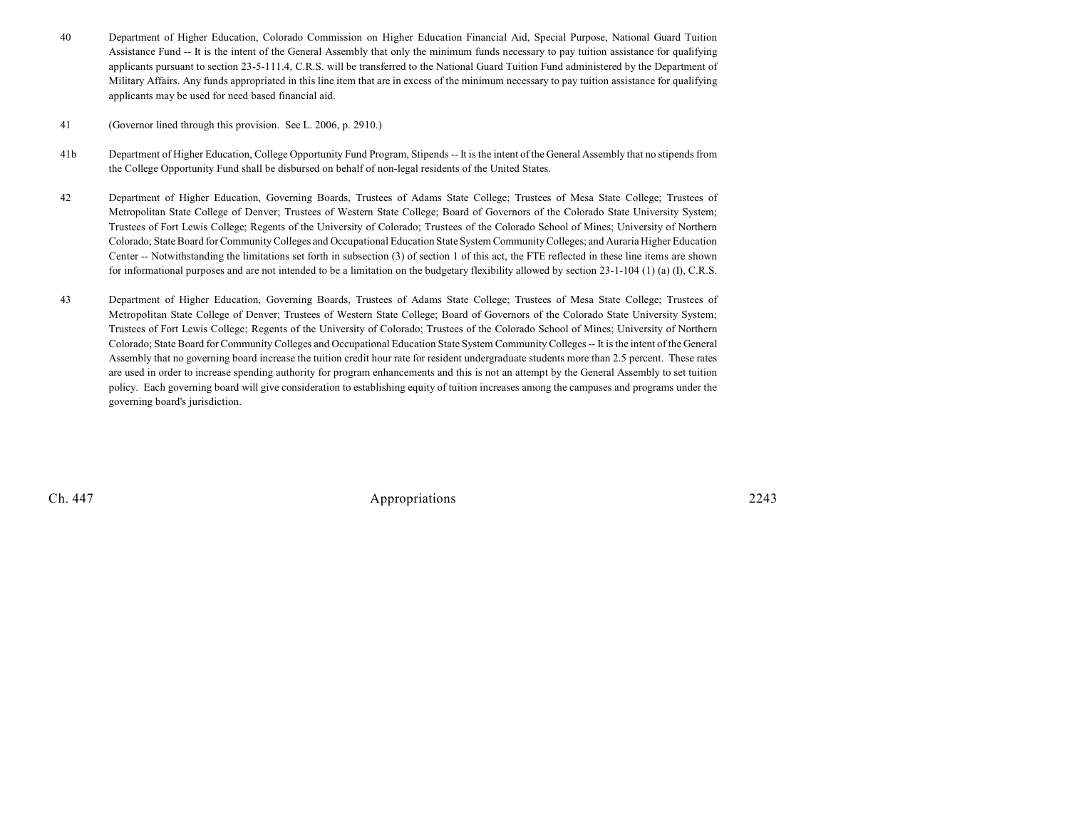- 40 Department of Higher Education, Colorado Commission on Higher Education Financial Aid, Special Purpose, National Guard Tuition Assistance Fund -- It is the intent of the General Assembly that only the minimum funds necessary to pay tuition assistance for qualifying applicants pursuant to section 23-5-111.4, C.R.S. will be transferred to the National Guard Tuition Fund administered by the Department of Military Affairs. Any funds appropriated in this line item that are in excess of the minimum necessary to pay tuition assistance for qualifying applicants may be used for need based financial aid.
- 41 (Governor lined through this provision. See L. 2006, p. 2910.)
- 41b Department of Higher Education, College Opportunity Fund Program, Stipends -- It is the intent of the General Assembly that no stipends from the College Opportunity Fund shall be disbursed on behalf of non-legal residents of the United States.
- 42 Department of Higher Education, Governing Boards, Trustees of Adams State College; Trustees of Mesa State College; Trustees of Metropolitan State College of Denver; Trustees of Western State College; Board of Governors of the Colorado State University System; Trustees of Fort Lewis College; Regents of the University of Colorado; Trustees of the Colorado School of Mines; University of Northern Colorado; State Board for Community Colleges and Occupational Education State System Community Colleges; and Auraria Higher Education Center -- Notwithstanding the limitations set forth in subsection (3) of section 1 of this act, the FTE reflected in these line items are shown for informational purposes and are not intended to be a limitation on the budgetary flexibility allowed by section 23-1-104 (1) (a) (I), C.R.S.
- 43 Department of Higher Education, Governing Boards, Trustees of Adams State College; Trustees of Mesa State College; Trustees of Metropolitan State College of Denver; Trustees of Western State College; Board of Governors of the Colorado State University System; Trustees of Fort Lewis College; Regents of the University of Colorado; Trustees of the Colorado School of Mines; University of Northern Colorado; State Board for Community Colleges and Occupational Education State System Community Colleges -- It is the intent of the General Assembly that no governing board increase the tuition credit hour rate for resident undergraduate students more than 2.5 percent. These rates are used in order to increase spending authority for program enhancements and this is not an attempt by the General Assembly to set tuition policy. Each governing board will give consideration to establishing equity of tuition increases among the campuses and programs under the governing board's jurisdiction.